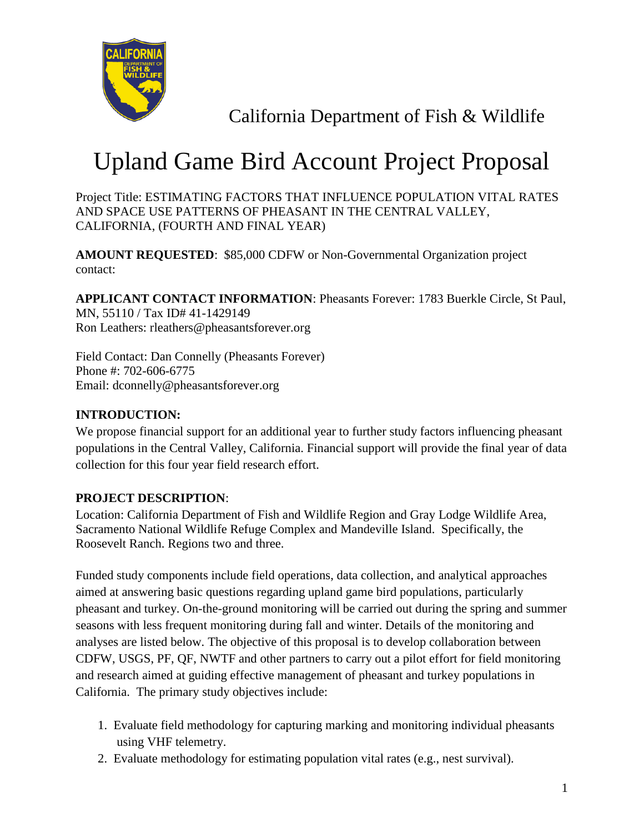

California Department of Fish & Wildlife

## Upland Game Bird Account Project Proposal

Project Title: ESTIMATING FACTORS THAT INFLUENCE POPULATION VITAL RATES AND SPACE USE PATTERNS OF PHEASANT IN THE CENTRAL VALLEY, CALIFORNIA, (FOURTH AND FINAL YEAR)

**AMOUNT REQUESTED**: \$85,000 CDFW or Non-Governmental Organization project contact:

**APPLICANT CONTACT INFORMATION**: Pheasants Forever: 1783 Buerkle Circle, St Paul, MN, 55110 / Tax ID# 41-1429149 Ron Leathers: rleathers@pheasantsforever.org

Field Contact: Dan Connelly (Pheasants Forever) Phone #: 702-606-6775 Email: dconnelly@pheasantsforever.org

## **INTRODUCTION:**

We propose financial support for an additional year to further study factors influencing pheasant populations in the Central Valley, California. Financial support will provide the final year of data collection for this four year field research effort.

## **PROJECT DESCRIPTION**:

Location: California Department of Fish and Wildlife Region and Gray Lodge Wildlife Area, Sacramento National Wildlife Refuge Complex and Mandeville Island. Specifically, the Roosevelt Ranch. Regions two and three.

Funded study components include field operations, data collection, and analytical approaches aimed at answering basic questions regarding upland game bird populations, particularly pheasant and turkey. On-the-ground monitoring will be carried out during the spring and summer seasons with less frequent monitoring during fall and winter. Details of the monitoring and analyses are listed below. The objective of this proposal is to develop collaboration between CDFW, USGS, PF, QF, NWTF and other partners to carry out a pilot effort for field monitoring and research aimed at guiding effective management of pheasant and turkey populations in California. The primary study objectives include:

- 1. Evaluate field methodology for capturing marking and monitoring individual pheasants using VHF telemetry.
- 2. Evaluate methodology for estimating population vital rates (e.g., nest survival).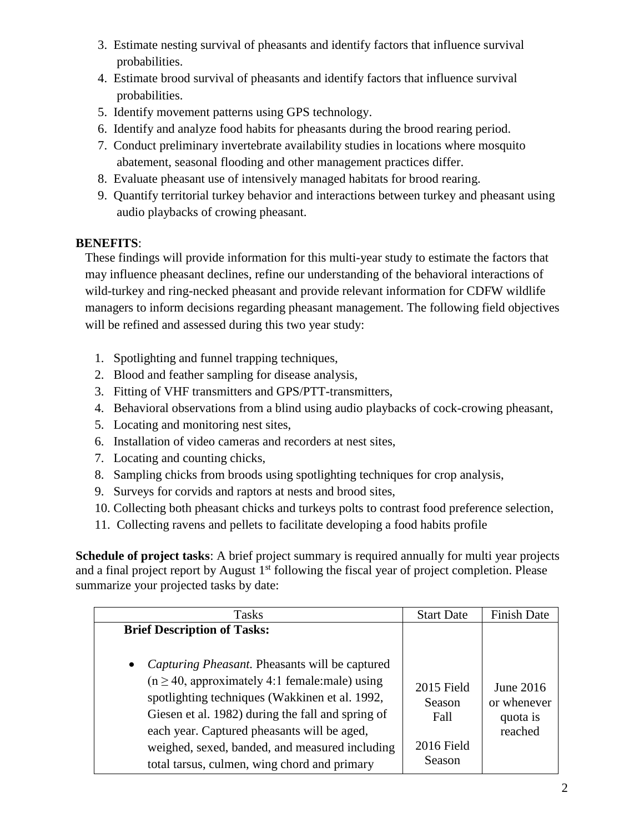- 3. Estimate nesting survival of pheasants and identify factors that influence survival probabilities.
- 4. Estimate brood survival of pheasants and identify factors that influence survival probabilities.
- 5. Identify movement patterns using GPS technology.
- 6. Identify and analyze food habits for pheasants during the brood rearing period.
- 7. Conduct preliminary invertebrate availability studies in locations where mosquito abatement, seasonal flooding and other management practices differ.
- 8. Evaluate pheasant use of intensively managed habitats for brood rearing.
- 9. Quantify territorial turkey behavior and interactions between turkey and pheasant using audio playbacks of crowing pheasant.

## **BENEFITS**:

These findings will provide information for this multi-year study to estimate the factors that may influence pheasant declines, refine our understanding of the behavioral interactions of wild-turkey and ring-necked pheasant and provide relevant information for CDFW wildlife managers to inform decisions regarding pheasant management. The following field objectives will be refined and assessed during this two year study:

- 1. Spotlighting and funnel trapping techniques,
- 2. Blood and feather sampling for disease analysis,
- 3. Fitting of VHF transmitters and GPS/PTT-transmitters,
- 4. Behavioral observations from a blind using audio playbacks of cock-crowing pheasant,
- 5. Locating and monitoring nest sites,
- 6. Installation of video cameras and recorders at nest sites,
- 7. Locating and counting chicks,
- 8. Sampling chicks from broods using spotlighting techniques for crop analysis,
- 9. Surveys for corvids and raptors at nests and brood sites,
- 10. Collecting both pheasant chicks and turkeys polts to contrast food preference selection,
- 11. Collecting ravens and pellets to facilitate developing a food habits profile

**Schedule of project tasks**: A brief project summary is required annually for multi year projects and a final project report by August 1<sup>st</sup> following the fiscal year of project completion. Please summarize your projected tasks by date:

| <b>Tasks</b>                                                | <b>Start Date</b> | <b>Finish Date</b> |
|-------------------------------------------------------------|-------------------|--------------------|
| <b>Brief Description of Tasks:</b>                          |                   |                    |
|                                                             |                   |                    |
| Capturing Pheasant. Pheasants will be captured<br>$\bullet$ |                   |                    |
| $(n \ge 40$ , approximately 4:1 female:male) using          | $2015$ Field      | June $2016$        |
| spotlighting techniques (Wakkinen et al. 1992,              | Season            | or whenever        |
| Giesen et al. 1982) during the fall and spring of           | Fall              | quota is           |
| each year. Captured pheasants will be aged,                 |                   | reached            |
| weighed, sexed, banded, and measured including              | $2016$ Field      |                    |
| total tarsus, culmen, wing chord and primary                | Season            |                    |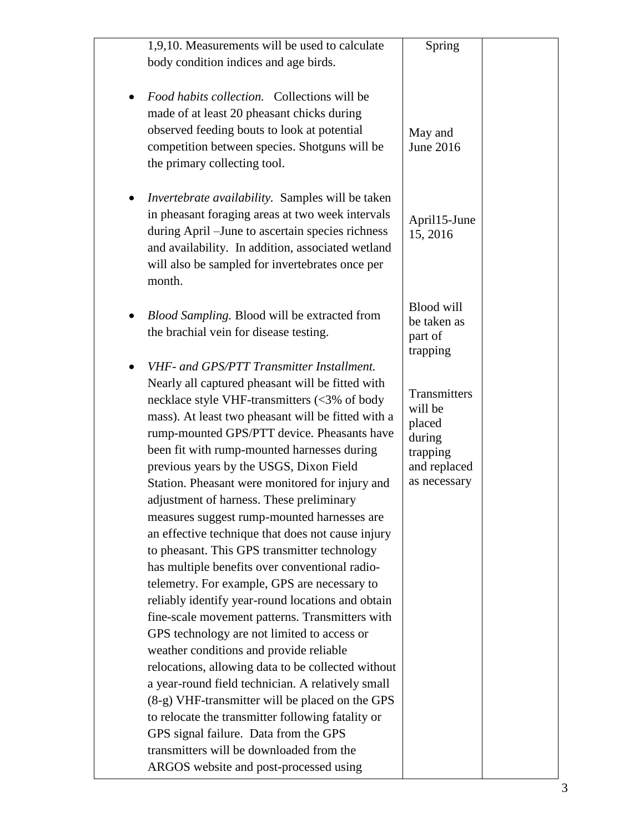| 1,9,10. Measurements will be used to calculate                                                                                                                                                                                                                                                                                                                                                                                                                                                                                                                                                                                                                                                                                                                                                                                                                                                                                                                                                                                                                                                                         | Spring                                                                                  |  |
|------------------------------------------------------------------------------------------------------------------------------------------------------------------------------------------------------------------------------------------------------------------------------------------------------------------------------------------------------------------------------------------------------------------------------------------------------------------------------------------------------------------------------------------------------------------------------------------------------------------------------------------------------------------------------------------------------------------------------------------------------------------------------------------------------------------------------------------------------------------------------------------------------------------------------------------------------------------------------------------------------------------------------------------------------------------------------------------------------------------------|-----------------------------------------------------------------------------------------|--|
| body condition indices and age birds.                                                                                                                                                                                                                                                                                                                                                                                                                                                                                                                                                                                                                                                                                                                                                                                                                                                                                                                                                                                                                                                                                  |                                                                                         |  |
|                                                                                                                                                                                                                                                                                                                                                                                                                                                                                                                                                                                                                                                                                                                                                                                                                                                                                                                                                                                                                                                                                                                        |                                                                                         |  |
| Food habits collection. Collections will be<br>made of at least 20 pheasant chicks during<br>observed feeding bouts to look at potential<br>competition between species. Shotguns will be<br>the primary collecting tool.                                                                                                                                                                                                                                                                                                                                                                                                                                                                                                                                                                                                                                                                                                                                                                                                                                                                                              | May and<br>June 2016                                                                    |  |
| <i>Invertebrate availability.</i> Samples will be taken<br>in pheasant foraging areas at two week intervals<br>during April – June to ascertain species richness<br>and availability. In addition, associated wetland<br>will also be sampled for invertebrates once per<br>month.                                                                                                                                                                                                                                                                                                                                                                                                                                                                                                                                                                                                                                                                                                                                                                                                                                     | April15-June<br>15, 2016                                                                |  |
| Blood Sampling. Blood will be extracted from<br>the brachial vein for disease testing.                                                                                                                                                                                                                                                                                                                                                                                                                                                                                                                                                                                                                                                                                                                                                                                                                                                                                                                                                                                                                                 | Blood will<br>be taken as<br>part of<br>trapping                                        |  |
| VHF- and GPS/PTT Transmitter Installment.<br>Nearly all captured pheasant will be fitted with<br>necklace style VHF-transmitters (<3% of body<br>mass). At least two pheasant will be fitted with a<br>rump-mounted GPS/PTT device. Pheasants have<br>been fit with rump-mounted harnesses during<br>previous years by the USGS, Dixon Field<br>Station. Pheasant were monitored for injury and<br>adjustment of harness. These preliminary<br>measures suggest rump-mounted harnesses are<br>an effective technique that does not cause injury<br>to pheasant. This GPS transmitter technology<br>has multiple benefits over conventional radio-<br>telemetry. For example, GPS are necessary to<br>reliably identify year-round locations and obtain<br>fine-scale movement patterns. Transmitters with<br>GPS technology are not limited to access or<br>weather conditions and provide reliable<br>relocations, allowing data to be collected without<br>a year-round field technician. A relatively small<br>(8-g) VHF-transmitter will be placed on the GPS<br>to relocate the transmitter following fatality or | Transmitters<br>will be<br>placed<br>during<br>trapping<br>and replaced<br>as necessary |  |
| GPS signal failure. Data from the GPS<br>transmitters will be downloaded from the<br>ARGOS website and post-processed using                                                                                                                                                                                                                                                                                                                                                                                                                                                                                                                                                                                                                                                                                                                                                                                                                                                                                                                                                                                            |                                                                                         |  |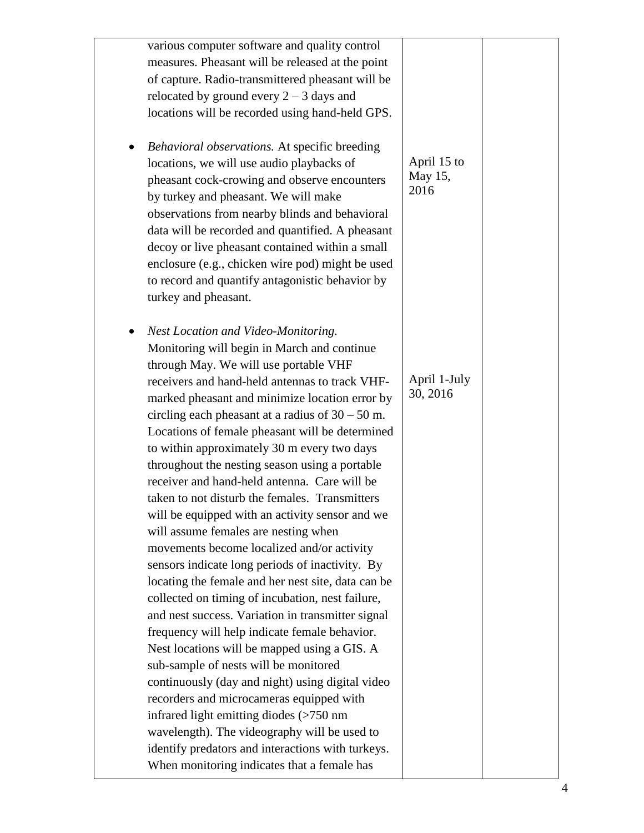| various computer software and quality control<br>measures. Pheasant will be released at the point<br>of capture. Radio-transmittered pheasant will be<br>relocated by ground every $2 - 3$ days and<br>locations will be recorded using hand-held GPS.                                                                                                                                                                                                                                                                                                                                                                                                                                                                                                                                                                                                                                                                                                                                                                                                                                               |                                |  |
|------------------------------------------------------------------------------------------------------------------------------------------------------------------------------------------------------------------------------------------------------------------------------------------------------------------------------------------------------------------------------------------------------------------------------------------------------------------------------------------------------------------------------------------------------------------------------------------------------------------------------------------------------------------------------------------------------------------------------------------------------------------------------------------------------------------------------------------------------------------------------------------------------------------------------------------------------------------------------------------------------------------------------------------------------------------------------------------------------|--------------------------------|--|
| Behavioral observations. At specific breeding<br>locations, we will use audio playbacks of<br>pheasant cock-crowing and observe encounters<br>by turkey and pheasant. We will make<br>observations from nearby blinds and behavioral<br>data will be recorded and quantified. A pheasant<br>decoy or live pheasant contained within a small<br>enclosure (e.g., chicken wire pod) might be used<br>to record and quantify antagonistic behavior by<br>turkey and pheasant.                                                                                                                                                                                                                                                                                                                                                                                                                                                                                                                                                                                                                           | April 15 to<br>May 15,<br>2016 |  |
| Nest Location and Video-Monitoring.<br>Monitoring will begin in March and continue<br>through May. We will use portable VHF<br>receivers and hand-held antennas to track VHF-<br>marked pheasant and minimize location error by<br>circling each pheasant at a radius of $30 - 50$ m.<br>Locations of female pheasant will be determined<br>to within approximately 30 m every two days<br>throughout the nesting season using a portable<br>receiver and hand-held antenna. Care will be<br>taken to not disturb the females. Transmitters<br>will be equipped with an activity sensor and we<br>will assume females are nesting when<br>movements become localized and/or activity<br>sensors indicate long periods of inactivity. By<br>locating the female and her nest site, data can be<br>collected on timing of incubation, nest failure,<br>and nest success. Variation in transmitter signal<br>frequency will help indicate female behavior.<br>Nest locations will be mapped using a GIS. A<br>sub-sample of nests will be monitored<br>continuously (day and night) using digital video | April 1-July<br>30, 2016       |  |
| recorders and microcameras equipped with<br>infrared light emitting diodes (>750 nm<br>wavelength). The videography will be used to<br>identify predators and interactions with turkeys.<br>When monitoring indicates that a female has                                                                                                                                                                                                                                                                                                                                                                                                                                                                                                                                                                                                                                                                                                                                                                                                                                                              |                                |  |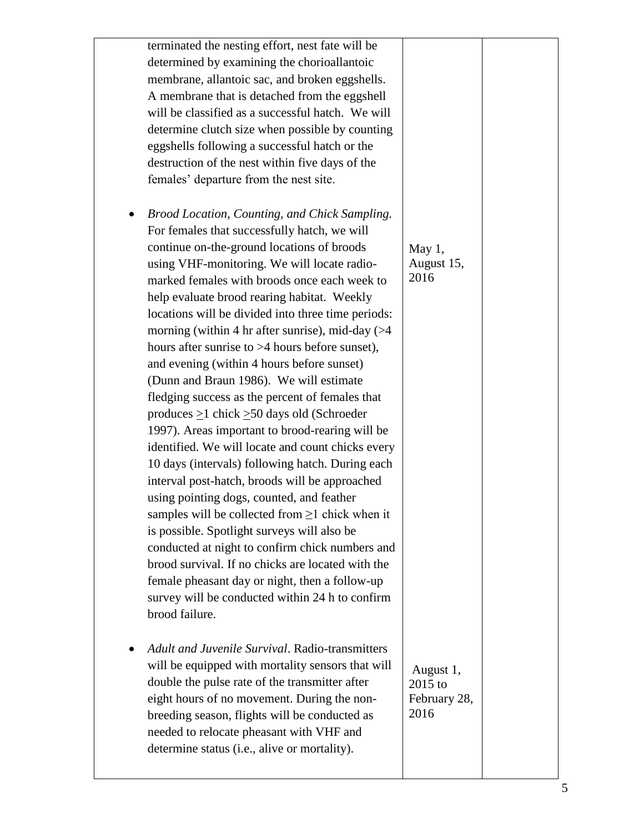| terminated the nesting effort, nest fate will be<br>determined by examining the chorioallantoic<br>membrane, allantoic sac, and broken eggshells.<br>A membrane that is detached from the eggshell<br>will be classified as a successful hatch. We will<br>determine clutch size when possible by counting<br>eggshells following a successful hatch or the<br>destruction of the nest within five days of the<br>females' departure from the nest site.                                                                                                                                                                                                                                                                                                                                                                                                                                                                                                                                                                                                                                                                                                                                                                                                            |                                              |  |
|---------------------------------------------------------------------------------------------------------------------------------------------------------------------------------------------------------------------------------------------------------------------------------------------------------------------------------------------------------------------------------------------------------------------------------------------------------------------------------------------------------------------------------------------------------------------------------------------------------------------------------------------------------------------------------------------------------------------------------------------------------------------------------------------------------------------------------------------------------------------------------------------------------------------------------------------------------------------------------------------------------------------------------------------------------------------------------------------------------------------------------------------------------------------------------------------------------------------------------------------------------------------|----------------------------------------------|--|
| Brood Location, Counting, and Chick Sampling.<br>For females that successfully hatch, we will<br>continue on-the-ground locations of broods<br>using VHF-monitoring. We will locate radio-<br>marked females with broods once each week to<br>help evaluate brood rearing habitat. Weekly<br>locations will be divided into three time periods:<br>morning (within 4 hr after sunrise), mid-day $($ > 4<br>hours after sunrise to $>4$ hours before sunset),<br>and evening (within 4 hours before sunset)<br>(Dunn and Braun 1986). We will estimate<br>fledging success as the percent of females that<br>produces $\geq$ 1 chick $\geq$ 50 days old (Schroeder<br>1997). Areas important to brood-rearing will be<br>identified. We will locate and count chicks every<br>10 days (intervals) following hatch. During each<br>interval post-hatch, broods will be approached<br>using pointing dogs, counted, and feather<br>samples will be collected from $\geq 1$ chick when it<br>is possible. Spotlight surveys will also be<br>conducted at night to confirm chick numbers and<br>brood survival. If no chicks are located with the<br>female pheasant day or night, then a follow-up<br>survey will be conducted within 24 h to confirm<br>brood failure. | May $1,$<br>August 15,<br>2016               |  |
| <b>Adult and Juvenile Survival. Radio-transmitters</b><br>will be equipped with mortality sensors that will<br>double the pulse rate of the transmitter after<br>eight hours of no movement. During the non-<br>breeding season, flights will be conducted as<br>needed to relocate pheasant with VHF and<br>determine status (i.e., alive or mortality).                                                                                                                                                                                                                                                                                                                                                                                                                                                                                                                                                                                                                                                                                                                                                                                                                                                                                                           | August 1,<br>2015 to<br>February 28,<br>2016 |  |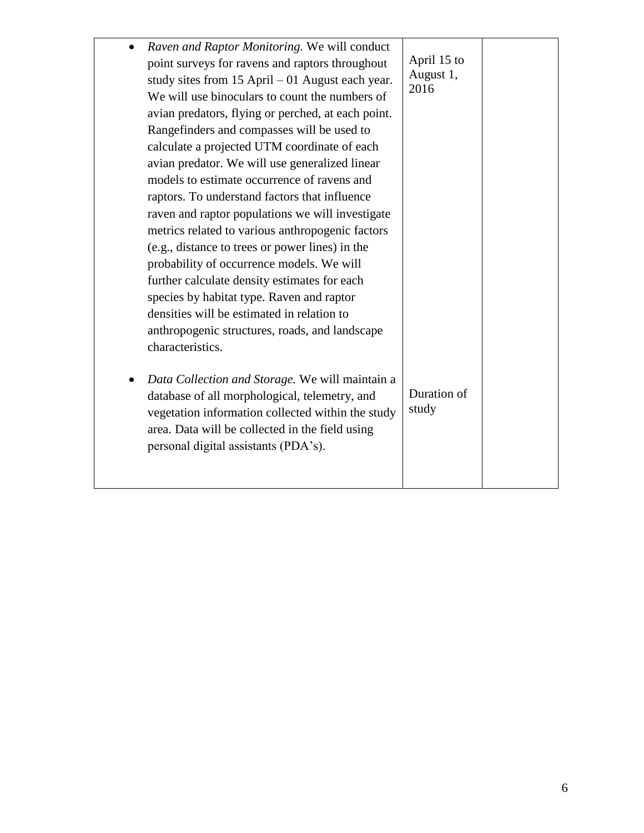| Raven and Raptor Monitoring. We will conduct<br>point surveys for ravens and raptors throughout<br>study sites from $15$ April $-01$ August each year.<br>We will use binoculars to count the numbers of<br>avian predators, flying or perched, at each point.<br>Rangefinders and compasses will be used to<br>calculate a projected UTM coordinate of each<br>avian predator. We will use generalized linear<br>models to estimate occurrence of ravens and<br>raptors. To understand factors that influence<br>raven and raptor populations we will investigate<br>metrics related to various anthropogenic factors<br>(e.g., distance to trees or power lines) in the<br>probability of occurrence models. We will<br>further calculate density estimates for each<br>species by habitat type. Raven and raptor<br>densities will be estimated in relation to<br>anthropogenic structures, roads, and landscape<br>characteristics. | April 15 to<br>August 1,<br>2016 |  |
|-----------------------------------------------------------------------------------------------------------------------------------------------------------------------------------------------------------------------------------------------------------------------------------------------------------------------------------------------------------------------------------------------------------------------------------------------------------------------------------------------------------------------------------------------------------------------------------------------------------------------------------------------------------------------------------------------------------------------------------------------------------------------------------------------------------------------------------------------------------------------------------------------------------------------------------------|----------------------------------|--|
| Data Collection and Storage. We will maintain a<br>database of all morphological, telemetry, and<br>vegetation information collected within the study<br>area. Data will be collected in the field using<br>personal digital assistants (PDA's).                                                                                                                                                                                                                                                                                                                                                                                                                                                                                                                                                                                                                                                                                        | Duration of<br>study             |  |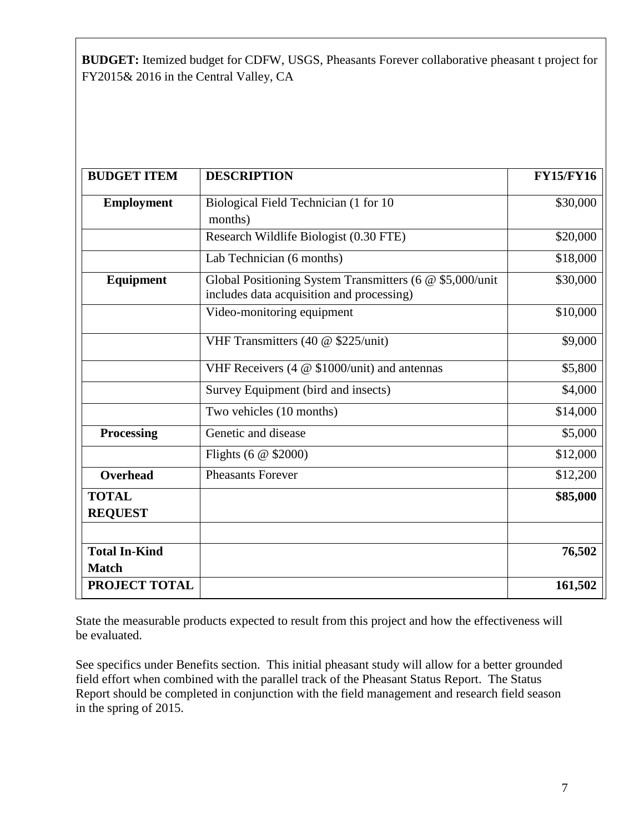**BUDGET:** Itemized budget for CDFW, USGS, Pheasants Forever collaborative pheasant t project for FY2015& 2016 in the Central Valley, CA

| <b>BUDGET ITEM</b>                   | <b>DESCRIPTION</b>                                                                                    | <b>FY15/FY16</b> |
|--------------------------------------|-------------------------------------------------------------------------------------------------------|------------------|
| <b>Employment</b>                    | Biological Field Technician (1 for 10<br>months)                                                      | \$30,000         |
|                                      | Research Wildlife Biologist (0.30 FTE)                                                                | \$20,000         |
|                                      | Lab Technician (6 months)                                                                             | \$18,000         |
| Equipment                            | Global Positioning System Transmitters (6 @ \$5,000/unit<br>includes data acquisition and processing) | \$30,000         |
|                                      | Video-monitoring equipment                                                                            | \$10,000         |
|                                      | VHF Transmitters (40 @ \$225/unit)                                                                    | \$9,000          |
|                                      | VHF Receivers (4 @ \$1000/unit) and antennas                                                          | \$5,800          |
|                                      | Survey Equipment (bird and insects)                                                                   | \$4,000          |
|                                      | Two vehicles (10 months)                                                                              | \$14,000         |
| <b>Processing</b>                    | Genetic and disease                                                                                   | \$5,000          |
|                                      | Flights (6 $@$ \$2000)                                                                                | \$12,000         |
| <b>Overhead</b>                      | <b>Pheasants Forever</b>                                                                              | \$12,200         |
| <b>TOTAL</b><br><b>REQUEST</b>       |                                                                                                       | \$85,000         |
|                                      |                                                                                                       |                  |
| <b>Total In-Kind</b><br><b>Match</b> |                                                                                                       | 76,502           |
| PROJECT TOTAL                        |                                                                                                       | 161,502          |

State the measurable products expected to result from this project and how the effectiveness will be evaluated.

See specifics under Benefits section. This initial pheasant study will allow for a better grounded field effort when combined with the parallel track of the Pheasant Status Report. The Status Report should be completed in conjunction with the field management and research field season in the spring of 2015.